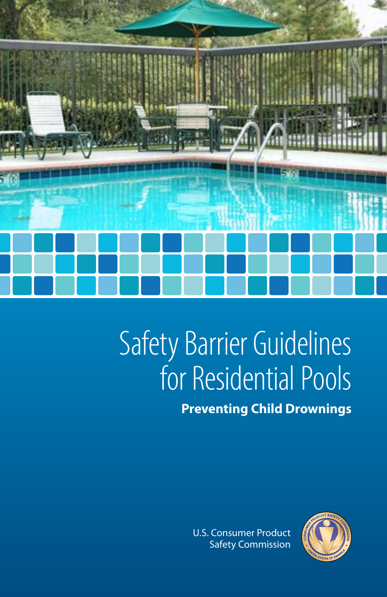

# Safety Barrier Guidelines for Residential Pools **Preventing Child Drownings**

U.S. Consumer Product Safety Commission

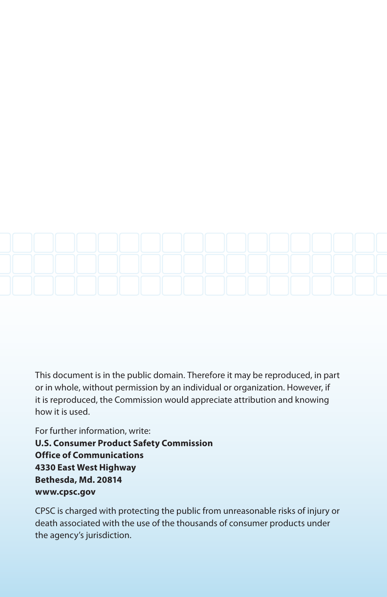

This document is in the public domain. Therefore it may be reproduced, in part or in whole, without permission by an individual or organization. However, if it is reproduced, the Commission would appreciate attribution and knowing how it is used.

For further information, write: **U.S. Consumer Product Safety Commission Office of Communications 4330 East West Highway Bethesda, Md. 20814 www.cpsc.gov**

CPSC is charged with protecting the public from unreasonable risks of injury or death associated with the use of the thousands of consumer products under the agency's jurisdiction.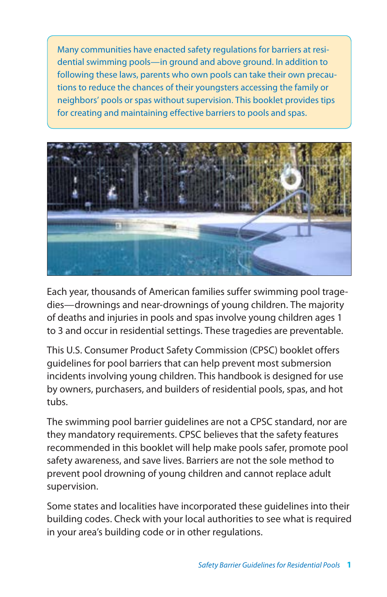Many communities have enacted safety regulations for barriers at residential swimming pools—in ground and above ground. In addition to following these laws, parents who own pools can take their own precautions to reduce the chances of their youngsters accessing the family or neighbors' pools or spas without supervision. This booklet provides tips for creating and maintaining effective barriers to pools and spas.



Each year, thousands of American families suffer swimming pool tragedies—drownings and near-drownings of young children. The majority of deaths and injuries in pools and spas involve young children ages 1 to 3 and occur in residential settings. These tragedies are preventable.

This U.S. Consumer Product Safety Commission (CPSC) booklet offers guidelines for pool barriers that can help prevent most submersion incidents involving young children. This handbook is designed for use by owners, purchasers, and builders of residential pools, spas, and hot tubs.

The swimming pool barrier guidelines are not a CPSC standard, nor are they mandatory requirements. CPSC believes that the safety features recommended in this booklet will help make pools safer, promote pool safety awareness, and save lives. Barriers are not the sole method to prevent pool drowning of young children and cannot replace adult supervision.

Some states and localities have incorporated these guidelines into their building codes. Check with your local authorities to see what is required in your area's building code or in other regulations.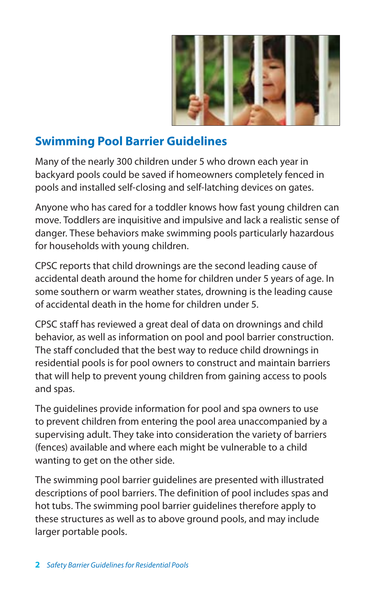

# **Swimming Pool Barrier Guidelines**

Many of the nearly 300 children under 5 who drown each year in backyard pools could be saved if homeowners completely fenced in pools and installed self-closing and self-latching devices on gates.

Anyone who has cared for a toddler knows how fast young children can move. Toddlers are inquisitive and impulsive and lack a realistic sense of danger. These behaviors make swimming pools particularly hazardous for households with young children.

CPSC reports that child drownings are the second leading cause of accidental death around the home for children under 5 years of age. In some southern or warm weather states, drowning is the leading cause of accidental death in the home for children under 5.

CPSC staff has reviewed a great deal of data on drownings and child behavior, as well as information on pool and pool barrier construction. The staff concluded that the best way to reduce child drownings in residential pools is for pool owners to construct and maintain barriers that will help to prevent young children from gaining access to pools and spas.

The guidelines provide information for pool and spa owners to use to prevent children from entering the pool area unaccompanied by a supervising adult. They take into consideration the variety of barriers (fences) available and where each might be vulnerable to a child wanting to get on the other side.

The swimming pool barrier guidelines are presented with illustrated descriptions of pool barriers. The definition of pool includes spas and hot tubs. The swimming pool barrier guidelines therefore apply to these structures as well as to above ground pools, and may include larger portable pools.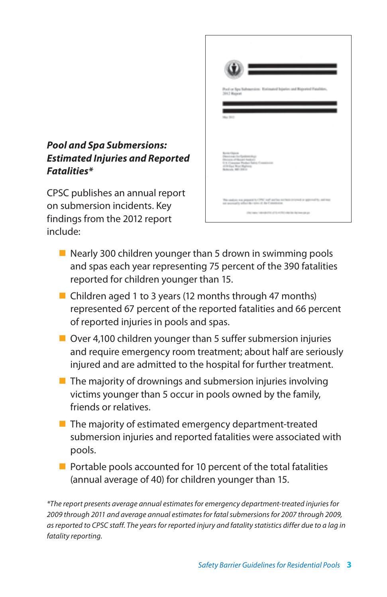## **Pool and Spa Submersions: Estimated Injuries and Reported Fatalities\***

CPSC publishes an annual report on submersion incidents. Key findings from the 2012 report include:

|                                                                                                                        | ÷                                                                                                                    |
|------------------------------------------------------------------------------------------------------------------------|----------------------------------------------------------------------------------------------------------------------|
| 3012 Rogwatt                                                                                                           | Pool or Spa Submersion: Entimated Injuries and Roported Fatalities,                                                  |
| May 340                                                                                                                |                                                                                                                      |
|                                                                                                                        |                                                                                                                      |
| <b>Ronte Gasca</b><br>Desire Helladeschur<br><b>Photograph American</b><br>410 East West Majorcy<br>Belling, Mr. 2411. | U.S. Consense Peaked Salviy Commission                                                                               |
|                                                                                                                        | The seature was prepared to CPMC and section exchange trianed or approval to seal read                               |
|                                                                                                                        | as accepts often in case of its Constraint<br>(the wake indicate (the of this of the way to be the interest case po- |

- $\blacksquare$  Nearly 300 children younger than 5 drown in swimming pools and spas each year representing 75 percent of the 390 fatalities reported for children younger than 15.
- Children aged 1 to 3 years (12 months through 47 months) represented 67 percent of the reported fatalities and 66 percent of reported injuries in pools and spas.
- $\blacksquare$  Over 4,100 children younger than 5 suffer submersion injuries and require emergency room treatment; about half are seriously injured and are admitted to the hospital for further treatment.
- $\blacksquare$  The majority of drownings and submersion injuries involving victims younger than 5 occur in pools owned by the family, friends or relatives.
- $\blacksquare$  The majority of estimated emergency department-treated submersion injuries and reported fatalities were associated with pools.
- $\blacksquare$  Portable pools accounted for 10 percent of the total fatalities (annual average of 40) for children younger than 15.

*\*The report presents average annual estimates for emergency department-treated injuries for 2009 through 2011 and average annual estimates for fatal submersions for 2007 through 2009, as reported to CPSC staff. The years for reported injury and fatality statistics differ due to a lag in fatality reporting.*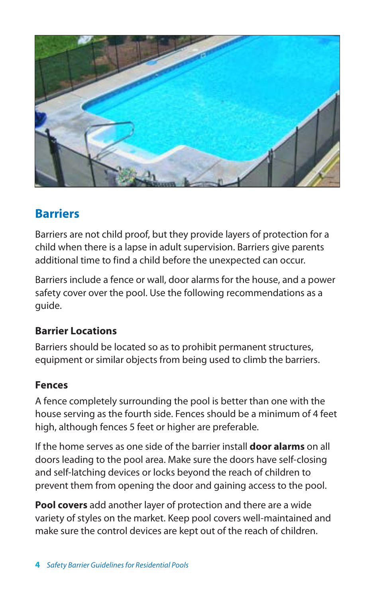

# **Barriers**

Barriers are not child proof, but they provide layers of protection for a child when there is a lapse in adult supervision. Barriers give parents additional time to find a child before the unexpected can occur.

Barriers include a fence or wall, door alarms for the house, and a power safety cover over the pool. Use the following recommendations as a guide.

# **Barrier Locations**

Barriers should be located so as to prohibit permanent structures, equipment or similar objects from being used to climb the barriers.

## **Fences**

A fence completely surrounding the pool is better than one with the house serving as the fourth side. Fences should be a minimum of 4 feet high, although fences 5 feet or higher are preferable.

If the home serves as one side of the barrier install **door alarms** on all doors leading to the pool area. Make sure the doors have self-closing and self-latching devices or locks beyond the reach of children to prevent them from opening the door and gaining access to the pool.

**Pool covers** add another layer of protection and there are a wide variety of styles on the market. Keep pool covers well-maintained and make sure the control devices are kept out of the reach of children.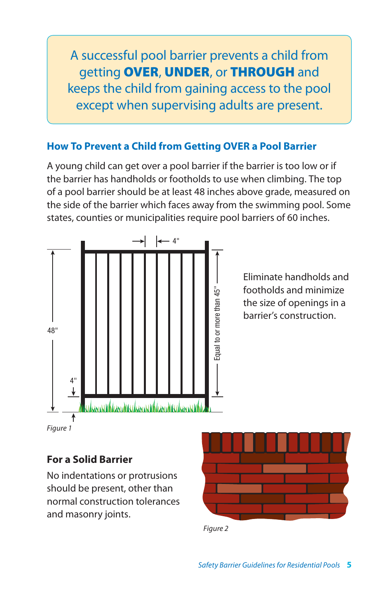A successful pool barrier prevents a child from getting OVER, UNDER, or THROUGH and keeps the child from gaining access to the pool except when supervising adults are present.

# **How To Prevent a Child from Getting OVER a Pool Barrier**

A young child can get over a pool barrier if the barrier is too low or if the barrier has handholds or footholds to use when climbing. The top of a pool barrier should be at least 48 inches above grade, measured on the side of the barrier which faces away from the swimming pool. Some states, counties or municipalities require pool barriers of 60 inches.



## **For a Solid Barrier**

No indentations or protrusions should be present, other than normal construction tolerances and masonry joints.



*Figure 2*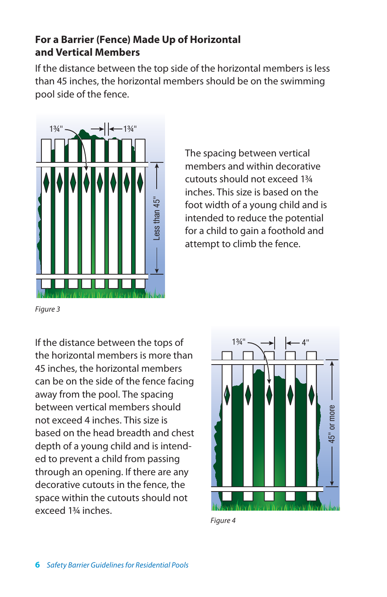## **For a Barrier (Fence) Made Up of Horizontal and Vertical Members**

If the distance between the top side of the horizontal members is less than 45 inches, the horizontal members should be on the swimming pool side of the fence.



The spacing between vertical members and within decorative cutouts should not exceed 1¾ inches. This size is based on the foot width of a young child and is intended to reduce the potential for a child to gain a foothold and attempt to climb the fence.

*Figure 3*

If the distance between the tops of the horizontal members is more than 45 inches, the horizontal members can be on the side of the fence facing away from the pool. The spacing between vertical members should not exceed 4 inches. This size is based on the head breadth and chest depth of a young child and is intended to prevent a child from passing through an opening. If there are any decorative cutouts in the fence, the space within the cutouts should not exceed 1¾ inches.



*Figure 4*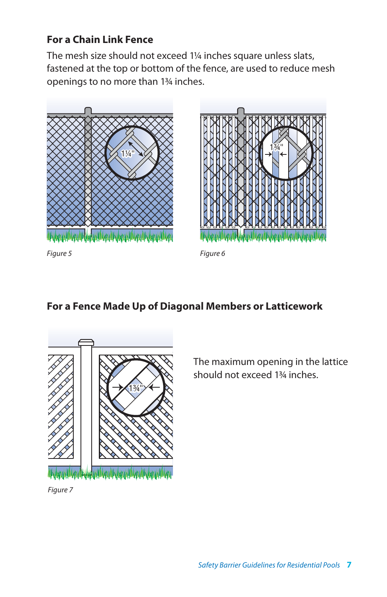# **For a Chain Link Fence**

The mesh size should not exceed 1¼ inches square unless slats, fastened at the top or bottom of the fence, are used to reduce mesh openings to no more than 1¾ inches.





*Figure 5 Figure 6*

#### **For a Fence Made Up of Diagonal Members or Latticework**



The maximum opening in the lattice should not exceed 1¾ inches.

*Figure 7*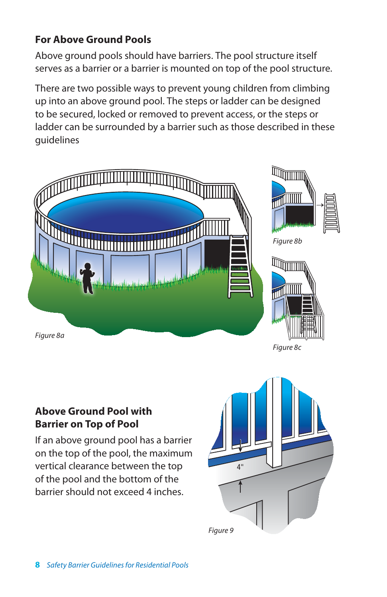# **For Above Ground Pools**

Above ground pools should have barriers. The pool structure itself serves as a barrier or a barrier is mounted on top of the pool structure.

There are two possible ways to prevent young children from climbing up into an above ground pool. The steps or ladder can be designed to be secured, locked or removed to prevent access, or the steps or ladder can be surrounded by a barrier such as those described in these guidelines



## **Above Ground Pool with Barrier on Top of Pool**

If an above ground pool has a barrier on the top of the pool, the maximum vertical clearance between the top of the pool and the bottom of the barrier should not exceed 4 inches.

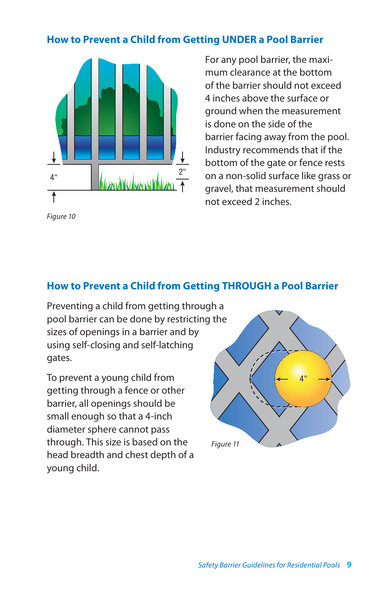#### **How to Prevent a Child from Getting UNDER a Pool Barrier**

![](_page_10_Figure_1.jpeg)

*Figure 10*

For any pool barrier, the maximum clearance at the bottom of the barrier should not exceed 4 inches above the surface or ground when the measurement is done on the side of the barrier facing away from the pool. Industry recommends that if the bottom of the gate or fence rests on a non-solid surface like grass or gravel, that measurement should not exceed 2 inches.

## **How to Prevent a Child from Getting THROUGH a Pool Barrier**

Preventing a child from getting through a pool barrier can be done by restricting the sizes of openings in a barrier and by using self-closing and self-latching gates.

To prevent a young child from getting through a fence or other barrier, all openings should be small enough so that a 4-inch diameter sphere cannot pass through. This size is based on the head breadth and chest depth of a young child.

![](_page_10_Picture_7.jpeg)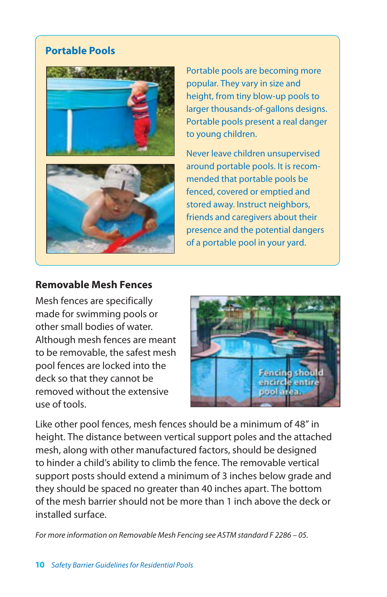#### **Portable Pools**

![](_page_11_Picture_1.jpeg)

Portable pools are becoming more popular. They vary in size and height, from tiny blow-up pools to larger thousands-of-gallons designs. Portable pools present a real danger to young children.

Never leave children unsupervised around portable pools. It is recommended that portable pools be fenced, covered or emptied and stored away. Instruct neighbors, friends and caregivers about their presence and the potential dangers of a portable pool in your yard.

#### **Removable Mesh Fences**

Mesh fences are specifically made for swimming pools or other small bodies of water. Although mesh fences are meant to be removable, the safest mesh pool fences are locked into the deck so that they cannot be removed without the extensive use of tools.

![](_page_11_Picture_6.jpeg)

Like other pool fences, mesh fences should be a minimum of 48" in height. The distance between vertical support poles and the attached mesh, along with other manufactured factors, should be designed to hinder a child's ability to climb the fence. The removable vertical support posts should extend a minimum of 3 inches below grade and they should be spaced no greater than 40 inches apart. The bottom of the mesh barrier should not be more than 1 inch above the deck or installed surface.

*For more information on Removable Mesh Fencing see ASTM standard F 2286 – 05.*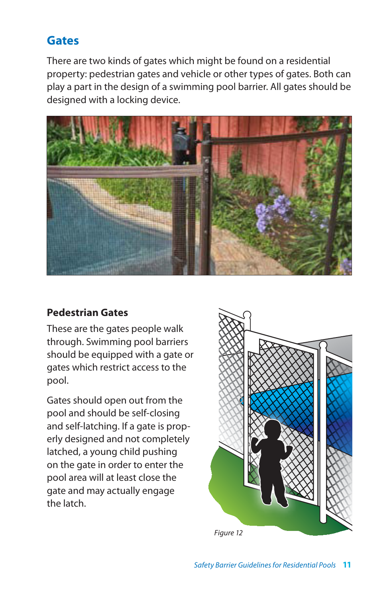# **Gates**

There are two kinds of gates which might be found on a residential property: pedestrian gates and vehicle or other types of gates. Both can play a part in the design of a swimming pool barrier. All gates should be designed with a locking device.

![](_page_12_Picture_2.jpeg)

## **Pedestrian Gates**

These are the gates people walk through. Swimming pool barriers should be equipped with a gate or gates which restrict access to the pool.

Gates should open out from the pool and should be self-closing and self-latching. If a gate is properly designed and not completely latched, a young child pushing on the gate in order to enter the pool area will at least close the gate and may actually engage the latch.

![](_page_12_Picture_6.jpeg)

*Figure 12*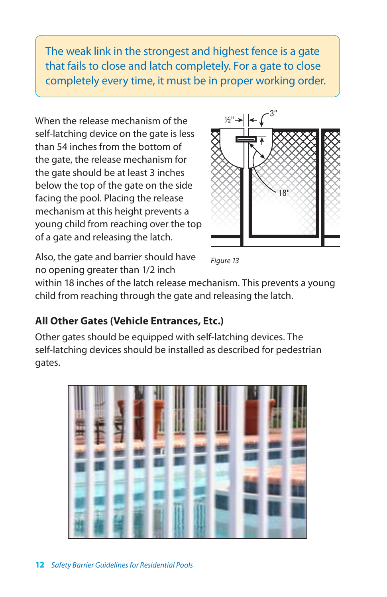The weak link in the strongest and highest fence is a gate that fails to close and latch completely. For a gate to close completely every time, it must be in proper working order.

When the release mechanism of the self-latching device on the gate is less than 54 inches from the bottom of the gate, the release mechanism for the gate should be at least 3 inches below the top of the gate on the side facing the pool. Placing the release mechanism at this height prevents a young child from reaching over the top of a gate and releasing the latch.

![](_page_13_Figure_2.jpeg)

Also, the gate and barrier should have no opening greater than 1/2 inch

*Figure 13*

within 18 inches of the latch release mechanism. This prevents a young child from reaching through the gate and releasing the latch.

# **All Other Gates (Vehicle Entrances, Etc.)**

Other gates should be equipped with self-latching devices. The self-latching devices should be installed as described for pedestrian gates.

![](_page_13_Picture_8.jpeg)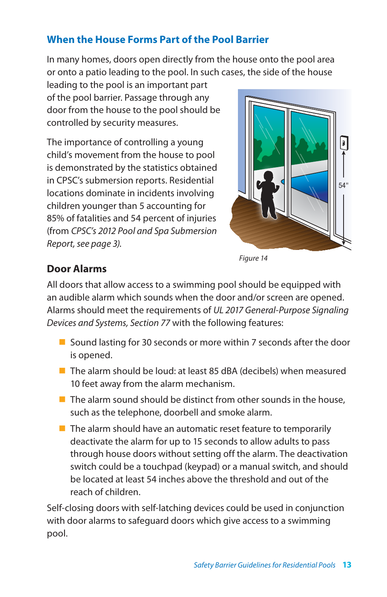# **When the House Forms Part of the Pool Barrier**

In many homes, doors open directly from the house onto the pool area or onto a patio leading to the pool. In such cases, the side of the house

leading to the pool is an important part of the pool barrier. Passage through any door from the house to the pool should be controlled by security measures.

The importance of controlling a young child's movement from the house to pool is demonstrated by the statistics obtained in CPSC's submersion reports. Residential locations dominate in incidents involving children younger than 5 accounting for 85% of fatalities and 54 percent of injuries (from *CPSC's 2012 Pool and Spa Submersion Report, see page 3).*

![](_page_14_Picture_4.jpeg)

*Figure 14*

# **Door Alarms**

All doors that allow access to a swimming pool should be equipped with an audible alarm which sounds when the door and/or screen are opened. Alarms should meet the requirements of *UL 2017 General-Purpose Signaling Devices and Systems, Section 77* with the following features:

- Sound lasting for 30 seconds or more within 7 seconds after the door is opened.
- $\blacksquare$  The alarm should be loud: at least 85 dBA (decibels) when measured 10 feet away from the alarm mechanism.
- $\blacksquare$  The alarm sound should be distinct from other sounds in the house, such as the telephone, doorbell and smoke alarm.
- $\blacksquare$  The alarm should have an automatic reset feature to temporarily deactivate the alarm for up to 15 seconds to allow adults to pass through house doors without setting off the alarm. The deactivation switch could be a touchpad (keypad) or a manual switch, and should be located at least 54 inches above the threshold and out of the reach of children.

Self-closing doors with self-latching devices could be used in conjunction with door alarms to safeguard doors which give access to a swimming pool.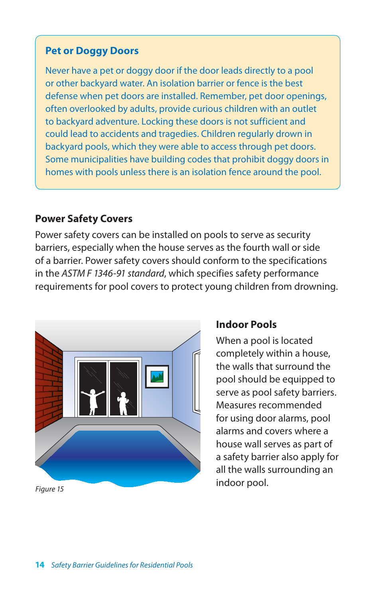#### **Pet or Doggy Doors**

Never have a pet or doggy door if the door leads directly to a pool or other backyard water. An isolation barrier or fence is the best defense when pet doors are installed. Remember, pet door openings, often overlooked by adults, provide curious children with an outlet to backyard adventure. Locking these doors is not sufficient and could lead to accidents and tragedies. Children regularly drown in backyard pools, which they were able to access through pet doors. Some municipalities have building codes that prohibit doggy doors in homes with pools unless there is an isolation fence around the pool.

#### **Power Safety Covers**

Power safety covers can be installed on pools to serve as security barriers, especially when the house serves as the fourth wall or side of a barrier. Power safety covers should conform to the specifications in the *ASTM F 1346-91 standard*, which specifies safety performance requirements for pool covers to protect young children from drowning.

![](_page_15_Picture_4.jpeg)

*Figure 15*

#### **Indoor Pools**

When a pool is located completely within a house, the walls that surround the pool should be equipped to serve as pool safety barriers. Measures recommended for using door alarms, pool alarms and covers where a house wall serves as part of a safety barrier also apply for all the walls surrounding an indoor pool.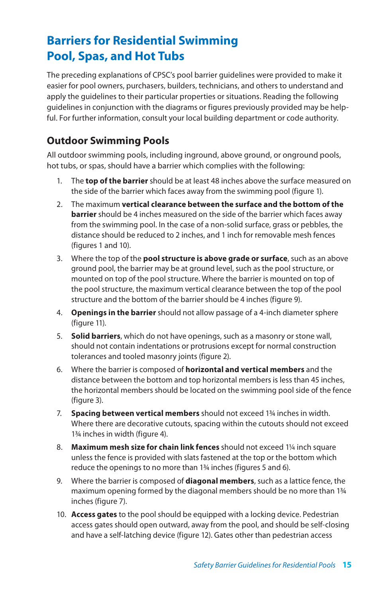# **Barriers for Residential Swimming Pool, Spas, and Hot Tubs**

The preceding explanations of CPSC's pool barrier guidelines were provided to make it easier for pool owners, purchasers, builders, technicians, and others to understand and apply the guidelines to their particular properties or situations. Reading the following guidelines in conjunction with the diagrams or figures previously provided may be helpful. For further information, consult your local building department or code authority.

#### **Outdoor Swimming Pools**

All outdoor swimming pools, including inground, above ground, or onground pools, hot tubs, or spas, should have a barrier which complies with the following:

- 1. The **top of the barrier** should be at least 48 inches above the surface measured on the side of the barrier which faces away from the swimming pool (figure 1).
- 2. The maximum **vertical clearance between the surface and the bottom of the barrier** should be 4 inches measured on the side of the barrier which faces away from the swimming pool. In the case of a non-solid surface, grass or pebbles, the distance should be reduced to 2 inches, and 1 inch for removable mesh fences (figures 1 and 10).
- 3. Where the top of the **pool structure is above grade or surface**, such as an above ground pool, the barrier may be at ground level, such as the pool structure, or mounted on top of the pool structure. Where the barrier is mounted on top of the pool structure, the maximum vertical clearance between the top of the pool structure and the bottom of the barrier should be 4 inches (figure 9).
- 4. **Openings in the barrier** should not allow passage of a 4-inch diameter sphere (figure 11).
- 5. **Solid barriers**, which do not have openings, such as a masonry or stone wall, should not contain indentations or protrusions except for normal construction tolerances and tooled masonry joints (figure 2).
- 6. Where the barrier is composed of **horizontal and vertical members** and the distance between the bottom and top horizontal members is less than 45 inches, the horizontal members should be located on the swimming pool side of the fence (figure 3).
- 7. **Spacing between vertical members** should not exceed 1¾ inches in width. Where there are decorative cutouts, spacing within the cutouts should not exceed 1¾ inches in width (figure 4).
- 8. **Maximum mesh size for chain link fences** should not exceed 1¼ inch square unless the fence is provided with slats fastened at the top or the bottom which reduce the openings to no more than 1¾ inches (figures 5 and 6).
- 9. Where the barrier is composed of **diagonal members**, such as a lattice fence, the maximum opening formed by the diagonal members should be no more than 1¾ inches (figure 7).
- 10. **Access gates** to the pool should be equipped with a locking device. Pedestrian access gates should open outward, away from the pool, and should be self-closing and have a self-latching device (figure 12). Gates other than pedestrian access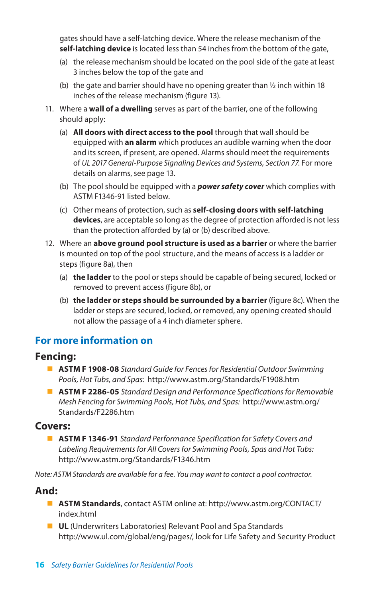gates should have a self-latching device. Where the release mechanism of the **self-latching device** is located less than 54 inches from the bottom of the gate,

- (a) the release mechanism should be located on the pool side of the gate at least 3 inches below the top of the gate and
- (b) the gate and barrier should have no opening greater than  $\frac{1}{2}$  inch within 18 inches of the release mechanism (figure 13).
- 11. Where a **wall of a dwelling** serves as part of the barrier, one of the following should apply:
	- (a) **All doors with direct access to the pool** through that wall should be equipped with **an alarm** which produces an audible warning when the door and its screen, if present, are opened. Alarms should meet the requirements of *UL 2017 General-Purpose Signaling Devices and Systems, Section 77*. For more details on alarms, see page 13.
	- (b) The pool should be equipped with a **power safety cover** which complies with ASTM F1346-91 listed below.
	- (c) Other means of protection, such as **self-closing doors with self-latching devices**, are acceptable so long as the degree of protection afforded is not less than the protection afforded by (a) or (b) described above.
- 12. Where an **above ground pool structure is used as a barrier** or where the barrier is mounted on top of the pool structure, and the means of access is a ladder or steps (figure 8a), then
	- (a) **the ladder** to the pool or steps should be capable of being secured, locked or removed to prevent access (figure 8b), or
	- (b) **the ladder or steps should be surrounded by a barrier** (figure 8c). When the ladder or steps are secured, locked, or removed, any opening created should not allow the passage of a 4 inch diameter sphere.

#### **For more information on**

#### **Fencing:**

- **ASTM F 1908-08** *Standard Guide for Fences for Residential Outdoor Swimming Pools, Hot Tubs, and Spas:* http://www.astm.org/Standards/F1908.htm
- **ASTM F 2286-05** *Standard Design and Performance Specifications for Removable Mesh Fencing for Swimming Pools, Hot Tubs, and Spas:* http://www.astm.org/ Standards/F2286.htm

#### **Covers:**

■ **ASTM F 1346-91** *Standard Performance Specification for Safety Covers and Labeling Requirements for All Covers for Swimming Pools, Spas and Hot Tubs:*  http://www.astm.org/Standards/F1346.htm

*Note: ASTM Standards are available for a fee. You may want to contact a pool contractor.*

#### **And:**

- **ASTM Standards**, contact ASTM online at: http://www.astm.org/CONTACT/ index.html
- **uL** (Underwriters Laboratories) Relevant Pool and Spa Standards http://www.ul.com/global/eng/pages/, look for Life Safety and Security Product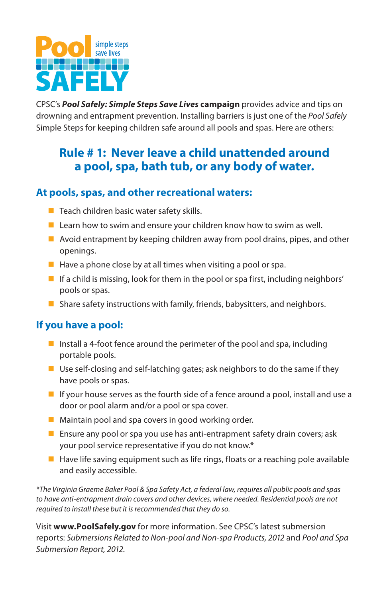![](_page_18_Picture_0.jpeg)

CPSC's **Pool Safely: Simple Steps Save Lives campaign** provides advice and tips on drowning and entrapment prevention. Installing barriers is just one of the *Pool Safely* Simple Steps for keeping children safe around all pools and spas. Here are others:

# **Rule # 1: Never leave a child unattended around a pool, spa, bath tub, or any body of water.**

#### **At pools, spas, and other recreational waters:**

- $\blacksquare$  Teach children basic water safety skills.
- $\blacksquare$  Learn how to swim and ensure your children know how to swim as well.
- $\blacksquare$  Avoid entrapment by keeping children away from pool drains, pipes, and other openings.
- $\blacksquare$  Have a phone close by at all times when visiting a pool or spa.
- $\blacksquare$  If a child is missing, look for them in the pool or spa first, including neighbors' pools or spas.
- Share safety instructions with family, friends, babysitters, and neighbors.

#### **If you have a pool:**

- Install a 4-foot fence around the perimeter of the pool and spa, including portable pools.
- $\blacksquare$  Use self-closing and self-latching gates; ask neighbors to do the same if they have pools or spas.
- $\blacksquare$  If your house serves as the fourth side of a fence around a pool, install and use a door or pool alarm and/or a pool or spa cover.
- $\blacksquare$  Maintain pool and spa covers in good working order.
- **n** Ensure any pool or spa you use has anti-entrapment safety drain covers; ask your pool service representative if you do not know.\*
- $\blacksquare$  Have life saving equipment such as life rings, floats or a reaching pole available and easily accessible.

*\*The Virginia Graeme Baker Pool & Spa Safety Act, a federal law, requires all public pools and spas to have anti-entrapment drain covers and other devices, where needed. Residential pools are not required to install these but it is recommended that they do so.* 

Visit **www.PoolSafely.gov** for more information. See CPSC's latest submersion reports: *Submersions Related to Non-pool and Non-spa Products, 2012* and *Pool and Spa Submersion Report, 2012*.